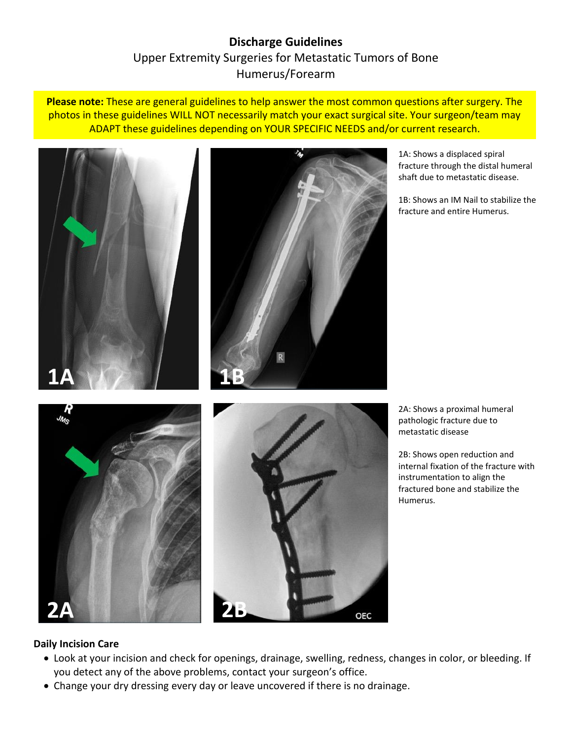# **Discharge Guidelines** Upper Extremity Surgeries for Metastatic Tumors of Bone Humerus/Forearm

**Please note:** These are general guidelines to help answer the most common questions after surgery. The photos in these guidelines WILL NOT necessarily match your exact surgical site. Your surgeon/team may ADAPT these guidelines depending on YOUR SPECIFIC NEEDS and/or current research.



1A: Shows a displaced spiral fracture through the distal humeral shaft due to metastatic disease.

1B: Shows an IM Nail to stabilize the fracture and entire Humerus.

2A: Shows a proximal humeral pathologic fracture due to metastatic disease

2B: Shows open reduction and internal fixation of the fracture with instrumentation to align the fractured bone and stabilize the Humerus.

#### **Daily Incision Care**

**2A 2B**

 Look at your incision and check for openings, drainage, swelling, redness, changes in color, or bleeding. If you detect any of the above problems, contact your surgeon's office.

**OEC** 

Change your dry dressing every day or leave uncovered if there is no drainage.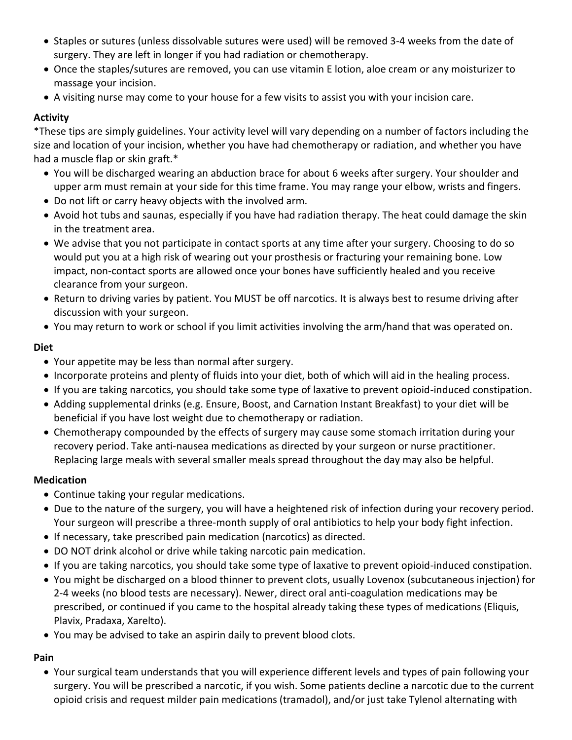- Staples or sutures (unless dissolvable sutures were used) will be removed 3-4 weeks from the date of surgery. They are left in longer if you had radiation or chemotherapy.
- Once the staples/sutures are removed, you can use vitamin E lotion, aloe cream or any moisturizer to massage your incision.
- A visiting nurse may come to your house for a few visits to assist you with your incision care.

## **Activity**

\*These tips are simply guidelines. Your activity level will vary depending on a number of factors including the size and location of your incision, whether you have had chemotherapy or radiation, and whether you have had a muscle flap or skin graft.\*

- You will be discharged wearing an abduction brace for about 6 weeks after surgery. Your shoulder and upper arm must remain at your side for this time frame. You may range your elbow, wrists and fingers.
- Do not lift or carry heavy objects with the involved arm.
- Avoid hot tubs and saunas, especially if you have had radiation therapy. The heat could damage the skin in the treatment area.
- We advise that you not participate in contact sports at any time after your surgery. Choosing to do so would put you at a high risk of wearing out your prosthesis or fracturing your remaining bone. Low impact, non-contact sports are allowed once your bones have sufficiently healed and you receive clearance from your surgeon.
- Return to driving varies by patient. You MUST be off narcotics. It is always best to resume driving after discussion with your surgeon.
- You may return to work or school if you limit activities involving the arm/hand that was operated on.

#### **Diet**

- Your appetite may be less than normal after surgery.
- Incorporate proteins and plenty of fluids into your diet, both of which will aid in the healing process.
- If you are taking narcotics, you should take some type of laxative to prevent opioid-induced constipation.
- Adding supplemental drinks (e.g. Ensure, Boost, and Carnation Instant Breakfast) to your diet will be beneficial if you have lost weight due to chemotherapy or radiation.
- Chemotherapy compounded by the effects of surgery may cause some stomach irritation during your recovery period. Take anti-nausea medications as directed by your surgeon or nurse practitioner. Replacing large meals with several smaller meals spread throughout the day may also be helpful.

#### **Medication**

- Continue taking your regular medications.
- Due to the nature of the surgery, you will have a heightened risk of infection during your recovery period. Your surgeon will prescribe a three-month supply of oral antibiotics to help your body fight infection.
- If necessary, take prescribed pain medication (narcotics) as directed.
- DO NOT drink alcohol or drive while taking narcotic pain medication.
- If you are taking narcotics, you should take some type of laxative to prevent opioid-induced constipation.
- You might be discharged on a blood thinner to prevent clots, usually Lovenox (subcutaneous injection) for 2-4 weeks (no blood tests are necessary). Newer, direct oral anti-coagulation medications may be prescribed, or continued if you came to the hospital already taking these types of medications (Eliquis, Plavix, Pradaxa, Xarelto).
- You may be advised to take an aspirin daily to prevent blood clots.

# **Pain**

 Your surgical team understands that you will experience different levels and types of pain following your surgery. You will be prescribed a narcotic, if you wish. Some patients decline a narcotic due to the current opioid crisis and request milder pain medications (tramadol), and/or just take Tylenol alternating with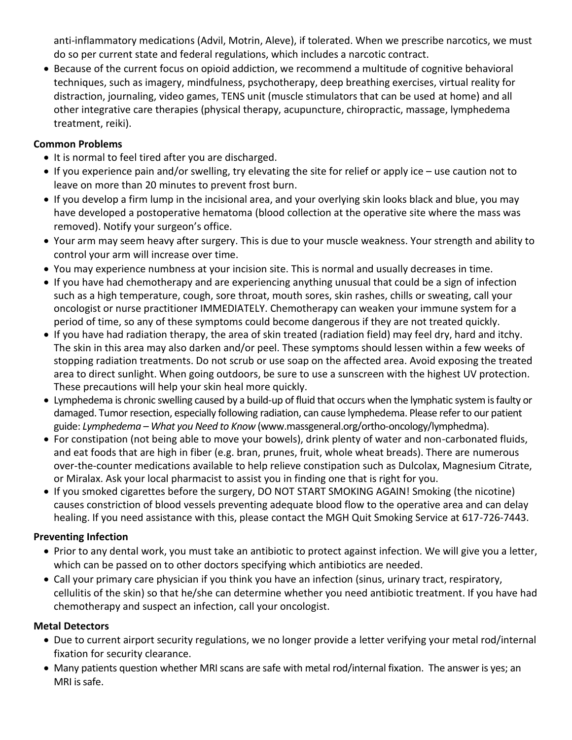anti-inflammatory medications (Advil, Motrin, Aleve), if tolerated. When we prescribe narcotics, we must do so per current state and federal regulations, which includes a narcotic contract.

 Because of the current focus on opioid addiction, we recommend a multitude of cognitive behavioral techniques, such as imagery, mindfulness, psychotherapy, deep breathing exercises, virtual reality for distraction, journaling, video games, TENS unit (muscle stimulators that can be used at home) and all other integrative care therapies (physical therapy, acupuncture, chiropractic, massage, lymphedema treatment, reiki).

## **Common Problems**

- It is normal to feel tired after you are discharged.
- If you experience pain and/or swelling, try elevating the site for relief or apply ice use caution not to leave on more than 20 minutes to prevent frost burn.
- If you develop a firm lump in the incisional area, and your overlying skin looks black and blue, you may have developed a postoperative hematoma (blood collection at the operative site where the mass was removed). Notify your surgeon's office.
- Your arm may seem heavy after surgery. This is due to your muscle weakness. Your strength and ability to control your arm will increase over time.
- You may experience numbness at your incision site. This is normal and usually decreases in time.
- If you have had chemotherapy and are experiencing anything unusual that could be a sign of infection such as a high temperature, cough, sore throat, mouth sores, skin rashes, chills or sweating, call your oncologist or nurse practitioner IMMEDIATELY. Chemotherapy can weaken your immune system for a period of time, so any of these symptoms could become dangerous if they are not treated quickly.
- If you have had radiation therapy, the area of skin treated (radiation field) may feel dry, hard and itchy. The skin in this area may also darken and/or peel. These symptoms should lessen within a few weeks of stopping radiation treatments. Do not scrub or use soap on the affected area. Avoid exposing the treated area to direct sunlight. When going outdoors, be sure to use a sunscreen with the highest UV protection. These precautions will help your skin heal more quickly.
- Lymphedema is chronic swelling caused by a build-up of fluid that occurs when the lymphatic system is faulty or damaged. Tumor resection, especially following radiation, can cause lymphedema. Please refer to our patient guide: *Lymphedema – What you Need to Know* (www.massgeneral.org/ortho-oncology/lymphedma).
- For constipation (not being able to move your bowels), drink plenty of water and non-carbonated fluids, and eat foods that are high in fiber (e.g. bran, prunes, fruit, whole wheat breads). There are numerous over-the-counter medications available to help relieve constipation such as Dulcolax, Magnesium Citrate, or Miralax. Ask your local pharmacist to assist you in finding one that is right for you.
- If you smoked cigarettes before the surgery, DO NOT START SMOKING AGAIN! Smoking (the nicotine) causes constriction of blood vessels preventing adequate blood flow to the operative area and can delay healing. If you need assistance with this, please contact the MGH Quit Smoking Service at 617-726-7443.

#### **Preventing Infection**

- Prior to any dental work, you must take an antibiotic to protect against infection. We will give you a letter, which can be passed on to other doctors specifying which antibiotics are needed.
- Call your primary care physician if you think you have an infection (sinus, urinary tract, respiratory, cellulitis of the skin) so that he/she can determine whether you need antibiotic treatment. If you have had chemotherapy and suspect an infection, call your oncologist.

#### **Metal Detectors**

- Due to current airport security regulations, we no longer provide a letter verifying your metal rod/internal fixation for security clearance.
- Many patients question whether MRI scans are safe with metal rod/internal fixation. The answer is yes; an MRI is safe.